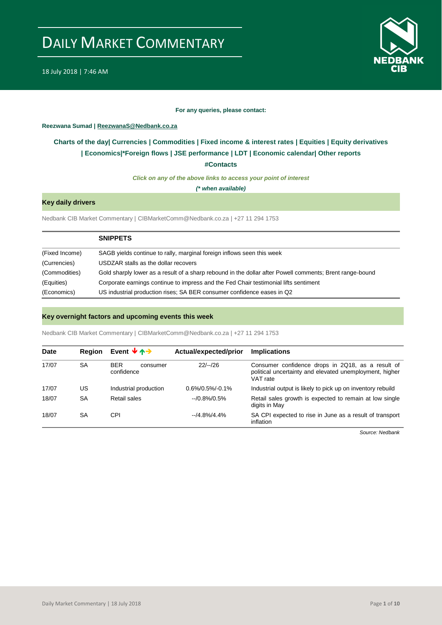

#### **For any queries, please contact:**

#### <span id="page-0-0"></span>**Reezwana Sumad | ReezwanaS@Nedbank.co.za**

### **Charts of the day| [Currencies](#page-2-0) [| Commodities](#page-3-0) | [Fixed income & interest rates](#page-1-0) | [Equities](#page-4-0) | Equity derivatives | [Economics|\\*](#page-6-0)Foreign flows [| JSE performance](#page-4-1) | LDT | [Economic calendar|](#page-7-0) Other reports**

**[#Contacts](#page-8-0)**

*Click on any of the above links to access your point of interest*

*(\* when available)*

### **Key daily drivers**

Nedbank CIB Market Commentary | CIBMarketComm@Nedbank.co.za | +27 11 294 1753

|                | <b>SNIPPETS</b>                                                                                          |
|----------------|----------------------------------------------------------------------------------------------------------|
| (Fixed Income) | SAGB yields continue to rally, marginal foreign inflows seen this week                                   |
| (Currencies)   | USDZAR stalls as the dollar recovers                                                                     |
| (Commodities)  | Gold sharply lower as a result of a sharp rebound in the dollar after Powell comments; Brent range-bound |
| (Equities)     | Corporate earnings continue to impress and the Fed Chair testimonial lifts sentiment                     |
| (Economics)    | US industrial production rises; SA BER consumer confidence eases in Q2                                   |

#### **Key overnight factors and upcoming events this week**

Nedbank CIB Market Commentary | CIBMarketComm@Nedbank.co.za | +27 11 294 1753

| Date  | <b>Region</b> | Event $\forall$ $\land \rightarrow$  | Actual/expected/prior | <b>Implications</b>                                                                                                      |
|-------|---------------|--------------------------------------|-----------------------|--------------------------------------------------------------------------------------------------------------------------|
| 17/07 | <b>SA</b>     | <b>BER</b><br>consumer<br>confidence | $22/-/26$             | Consumer confidence drops in 2Q18, as a result of<br>political uncertainty and elevated unemployment, higher<br>VAT rate |
| 17/07 | US            | Industrial production                | $0.6\%/0.5\%/0.1\%$   | Industrial output is likely to pick up on inventory rebuild                                                              |
| 18/07 | <b>SA</b>     | Retail sales                         | $-10.8\%/0.5\%$       | Retail sales growth is expected to remain at low single<br>digits in May                                                 |
| 18/07 | <b>SA</b>     | CPI                                  | $-14.8\%/4.4\%$       | SA CPI expected to rise in June as a result of transport<br>inflation                                                    |

*Source: Nedbank*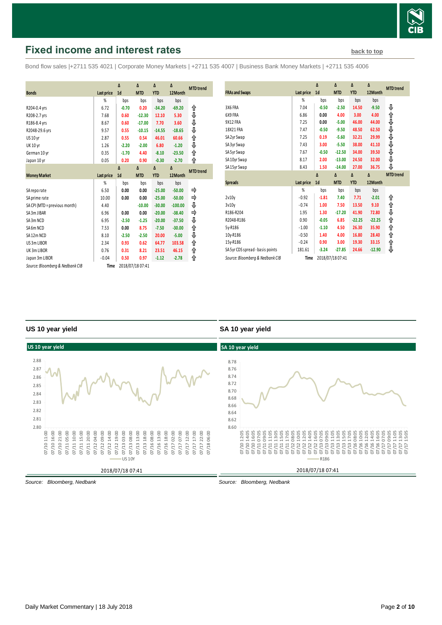

# <span id="page-1-0"></span>**Fixed income and interest rates [back to top](#page-0-0) back to top**

Bond flow sales |+2711 535 4021 | Corporate Money Markets | +2711 535 4007 | Business Bank Money Markets | +2711 535 4006

|                                 |                   | Δ              | Δ                | $\Delta$   | Δ         |                  |
|---------------------------------|-------------------|----------------|------------------|------------|-----------|------------------|
| <b>Bonds</b>                    |                   | 1 <sub>d</sub> | <b>MTD</b>       | <b>YTD</b> | 12Month   | <b>MTD</b> trend |
|                                 | <b>Last price</b> |                |                  |            |           |                  |
|                                 | %                 | bps            | bps              | bps        | bps       |                  |
| R204-0.4 yrs                    | 6.72              | $-0.70$        | 0.20             | $-34.20$   | $-69.20$  | ⇑                |
| R208-2.7 yrs                    | 7.68              | 0.60           | $-12.30$         | 12.10      | 5.30      | ⇓                |
| R186-8.4 yrs                    | 8.67              | 0.60           | $-17.00$         | 7.70       | 3.60      | ⇓                |
| R2048-29.6 yrs                  | 9.57              | 0.55           | $-10.15$         | $-14.55$   | $-18.65$  | ⇓                |
| <b>US 10 yr</b>                 | 2.87              | 0.55           | 0.54             | 46.01      | 60.66     | ⇑                |
| <b>UK 10 yr</b>                 | 1.26              | $-2.20$        | $-2.00$          | 6.80       | $-1.20$   | ⇓                |
| German 10 yr                    | 0.35              | $-1.70$        | 4.40             | $-8.10$    | $-23.50$  | ↑                |
| Japan 10 yr                     | 0.05              | 0.20           | 0.90             | $-0.30$    | $-2.70$   | ⇑                |
|                                 |                   | $\Lambda$      | $\Lambda$        | Δ          | Δ         | <b>MTD</b> trend |
| <b>Money Market</b>             | <b>Last price</b> | 1 <sub>d</sub> | <b>MTD</b>       | <b>YTD</b> | 12Month   |                  |
|                                 | %                 | bps            | bps              | bps        | bps       |                  |
| SA reporate                     | 6.50              | 0.00           | 0.00             | $-25.00$   | $-50.00$  |                  |
| SA prime rate                   | 10.00             | 0.00           | 0.00             | $-25.00$   | $-50.00$  | ⇛                |
| SA CPI (MTD = previous month)   | 4.40              |                | $-10.00$         | $-30.00$   | $-100.00$ | ⇓                |
| SA 3m JIBAR                     | 6.96              | 0.00           | 0.00             | $-20.00$   | $-38.40$  |                  |
| SA3m NCD                        | 6.95              | $-2.50$        | $-1.25$          | $-20.00$   | $-37.50$  | ⇓                |
| SA6m NCD                        | 7.53              | 0.00           | 8.75             | $-7.50$    | $-30.00$  | ↟                |
| SA12m NCD                       | 8.10              | $-2.50$        | $-2.50$          | 20.00      | $-5.00$   | ⇓                |
| US 3m LIBOR                     | 2.34              | 0.93           | 0.62             | 64.77      | 103.58    | ⇑                |
| UK3m LIBOR                      | 0.76              | 0.31           | 8.21             | 23.51      | 46.15     | ⇑                |
| Japan 3m LIBOR                  | $-0.04$           | 0.50           | 0.97             | $-1.12$    | $-2.78$   | ⇑                |
| Source: Bloomberg & Nedbank CIB | Time              |                | 2018/07/18 07:41 |            |           |                  |

| <b>FRAs and Swaps</b>            | Last price | Δ<br>1 <sub>d</sub> | Δ<br><b>MTD</b> | Δ<br><b>YTD</b> | Δ<br>12Month | <b>MTD</b> trend |
|----------------------------------|------------|---------------------|-----------------|-----------------|--------------|------------------|
|                                  | %          | bps                 | bps             | bps             | bps          |                  |
| 3X6 FRA                          | 7.04       | $-0.50$             | $-2.50$         | 14.50           | $-9.50$      | ⊕                |
| 6X9 FRA                          | 6.86       | 0.00                | 4.00            | 3.00            | 4.00         | ⇑                |
| 9X12 FRA                         | 7.25       | 0.00                | $-5.00$         | 46.00           | 44.00        | ⇓                |
| 18X21 FRA                        | 7.47       | $-0.50$             | $-9.50$         | 48.50           | 62.50        | ⇓                |
| SA 2yr Swap                      | 7.25       | 0.19                | $-5.60$         | 32.21           | 29.99        | ⇓                |
| SA 3yr Swap                      | 7.43       | 3.00                | $-5.50$         | 38.00           | 41.10        | ♦♦♦              |
| SA 5yr Swap                      | 7.67       | $-0.50$             | $-12.50$        | 34.00           | 39.50        |                  |
| SA 10yr Swap                     | 8.17       | 2.00                | $-13.00$        | 24.50           | 32.00        |                  |
| SA 15yr Swap                     | 8.43       | 1.50                | $-14.00$        | 27.00           | 36.75        | ⊕                |
|                                  |            |                     |                 |                 |              |                  |
|                                  |            | $\Delta$            | Δ               | $\Delta$        | Δ            | <b>MTD</b> trend |
| <b>Spreads</b>                   | Last price | 1 <sub>d</sub>      | <b>MTD</b>      | <b>YTD</b>      | 12Month      |                  |
|                                  | %          | bps                 | bps             | bps             | bps          |                  |
| 2v10v                            | $-0.92$    | $-1.81$             | 7.40            | 7.71            | $-2.01$      | ⇑                |
| 3v10v                            | $-0.74$    | 1.00                | 7.50            | 13.50           | 9.10         | ⇑                |
| R186-R204                        | 1.95       | 1.30                | $-17.20$        | 41.90           | 72.80        |                  |
| R2048-R186                       | 0.90       | $-0.05$             | 6.85            | $-22.25$        | $-22.25$     | ⇓<br>⇑           |
| 5y-R186                          | $-1.00$    | $-1.10$             | 4.50            | 26.30           | 35.90        | ⇑                |
| 10y-R186                         | $-0.50$    | 1.40                | 4.00            | 16.80           | 28.40        | ⇑                |
| 15y-R186                         | $-0.24$    | 0.90                | 3.00            | 19.30           | 33.15        | ⇑                |
| SA 5yr CDS spread - basis points | 181.61     | $-3.24$             | $-27.85$        | 24.66           | $-12.90$     | ⊕                |

#### **US 10 year yield**

#### **SA 10 year yield**



*Source: Bloomberg, Nedbank*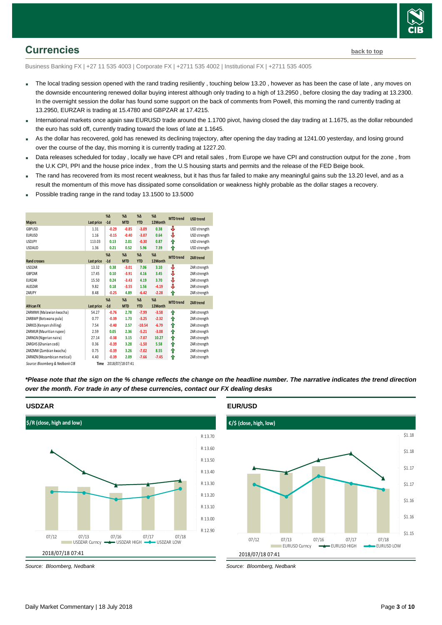

## <span id="page-2-0"></span>**Currencies [back to top](#page-0-0)**

Business Banking FX | +27 11 535 4003 | Corporate FX | +2711 535 4002 | Institutional FX | +2711 535 4005

- The local trading session opened with the rand trading resiliently, touching below 13.20, however as has been the case of late, any moves on the downside encountering renewed dollar buying interest although only trading to a high of 13.2950 , before closing the day trading at 13.2300. In the overnight session the dollar has found some support on the back of comments from Powell, this morning the rand currently trading at 13.2950, EURZAR is trading at 15.4780 and GBPZAR at 17.4215.
- International markets once again saw EURUSD trade around the 1.1700 pivot, having closed the day trading at 1.1675, as the dollar rebounded the euro has sold off, currently trading toward the lows of late at 1.1645.
- As the dollar has recovered, gold has renewed its declining trajectory, after opening the day trading at 1241.00 yesterday, and losing ground over the course of the day, this morning it is currently trading at 1227.20.
- Data releases scheduled for today , locally we have CPI and retail sales , from Europe we have CPI and construction output for the zone , from the U.K CPI, PPI and the house price index , from the U.S housing starts and permits and the release of the FED Beige book.
- The rand has recovered from its most recent weakness, but it has thus far failed to make any meaningful gains sub the 13.20 level, and as a result the momentum of this move has dissipated some consolidation or weakness highly probable as the dollar stages a recovery.
- Possible trading range in the rand today 13.1500 to 13.5000

|                             |                   | $% \Delta$ | $% \Lambda$ | $%$ $\Delta$ | $%$ $\Delta$ | <b>MTD</b> trend | <b>USD trend</b> |
|-----------------------------|-------------------|------------|-------------|--------------|--------------|------------------|------------------|
| <b>Majors</b>               | <b>Last price</b> | $-1d$      | <b>MTD</b>  | <b>YTD</b>   | 12Month      |                  |                  |
| GBPUSD                      | 1.31              | $-0.29$    | $-0.85$     | $-3.09$      | 0.38         | ⊕                | USD strength     |
| <b>EURUSD</b>               | 1.16              | $-0.15$    | $-0.40$     | $-3.07$      | 0.64         | ⊕                | USD strength     |
| <b>USDJPY</b>               | 113.03            | 0.13       | 2.01        | $-0.30$      | 0.87         | ⇑                | USD strength     |
| <b>USDAUD</b>               | 1.36              | 0.21       | 0.52        | 5.96         | 7.39         | ⇑                | USD strength     |
|                             |                   | $% \Delta$ | $% \Delta$  | $% \Delta$   | $%$ $\Delta$ | <b>MTD</b> trend | <b>ZAR</b> trend |
| <b>Rand crosses</b>         | Last price        | $-1d$      | <b>MTD</b>  | <b>YTD</b>   | 12Month      |                  |                  |
| <b>USDZAR</b>               | 13.32             | 0.38       | $-3.01$     | 7.06         | 3.10         | ₩                | ZAR strength     |
| GBPZAR                      | 17.45             | 0.10       | $-3.91$     | 4.16         | 3.45         | ⊕                | ZAR strength     |
| <b>EURZAR</b>               | 15.50             | 0.24       | $-3.43$     | 4.19         | 3.70         | ⇩                | ZAR strength     |
| <b>AUDZAR</b>               | 9.82              | 0.18       | $-3.55$     | 1.56         | $-4.19$      | ⊕                | ZAR strength     |
| ZARJPY                      | 8.48              | $-0.25$    | 4.89        | $-6.42$      | $-2.28$      | ⇑                | ZAR strength     |
|                             |                   | $% \Delta$ | $% \Lambda$ | $% \Delta$   | $% \Lambda$  | <b>MTD</b> trend | <b>ZAR</b> trend |
| <b>African FX</b>           | Last price        | $-1d$      | <b>MTD</b>  | <b>YTD</b>   | 12Month      |                  |                  |
| ZARMWK (Malawian kwacha)    | 54.27             | $-0.76$    | 2.78        | $-7.99$      | $-3.58$      | ⇑                | ZAR strength     |
| ZARBWP (Botswana pula)      | 0.77              | $-0.39$    | 1.73        | $-3.25$      | $-2.32$      | ⇑                | ZAR strength     |
| ZARKES (Kenyan shilling)    | 7.54              | $-0.40$    | 2.57        | $-10.54$     | $-6.79$      | ⇑                | ZAR strength     |
| ZARMUR (Mauritian rupee)    | 2.59              | 0.05       | 2.36        | $-5.21$      | $-3.08$      | ⇑                | ZAR strength     |
| ZARNGN (Nigerian naira)     | 27.14             | $-0.38$    | 3.15        | $-7.07$      | 10.27        | ⇑                | ZAR strength     |
| ZARGHS (Ghanian cedi)       | 0.36              | $-0.39$    | 3.28        | $-1.50$      | 5.58         | ⇑                | ZAR strength     |
| ZARZMW (Zambian kwacha)     | 0.75              | $-0.39$    | 3.26        | $-7.02$      | 8.55         | ⇑                | ZAR strength     |
| ZARMZN (Mozambican metical) |                   |            |             |              |              |                  |                  |
|                             | 4.40              | $-0.39$    | 2.09        | $-7.66$      | $-7.45$      | ⇑                | ZAR strength     |

*\*Please note that the sign on the % change reflects the change on the headline number. The narrative indicates the trend direction over the month. For trade in any of these currencies, contact our FX dealing desks*



R 13.50

*Source: Bloomberg, Nedbank*

# **EUR/USD**

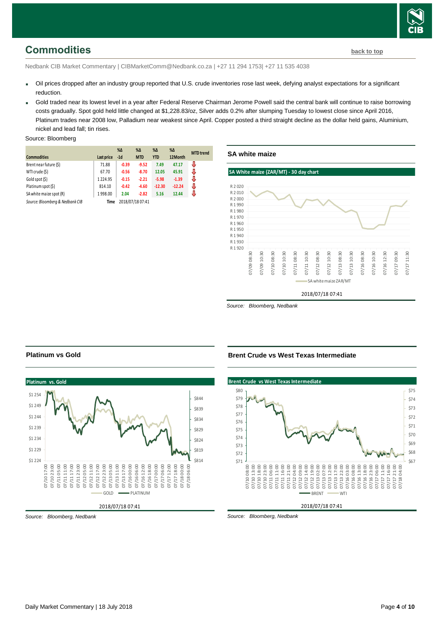

# <span id="page-3-0"></span>**Commodities [back to top](#page-0-0)**

Nedbank CIB Market Commentary | CIBMarketComm@Nedbank.co.za | +27 11 294 1753| +27 11 535 4038

- Oil prices dropped after an industry group reported that U.S. crude inventories rose last week, defying analyst expectations for a significant reduction.
- Gold traded near its lowest level in a year after Federal Reserve Chairman Jerome Powell said the central bank will continue to raise borrowing costs gradually. Spot gold held little changed at \$1,228.83/oz, Silver adds 0.2% after slumping Tuesday to lowest close since April 2016, Platinum trades near 2008 low, Palladium near weakest since April. Copper posted a third straight decline as the dollar held gains, Aluminium, nickel and lead fall; tin rises.

#### Source: Bloomberg

|                                 |            | $\%$ $\Delta$ | $\%$ $\Delta$    | %Δ         | $% \Delta$ | <b>MTD</b> trend |
|---------------------------------|------------|---------------|------------------|------------|------------|------------------|
| <b>Commodities</b>              | Last price | $-1d$         | <b>MTD</b>       | <b>YTD</b> | 12Month    |                  |
| Brent near future (\$)          | 71.88      | $-0.39$       | $-9.52$          | 7.49       | 47.17      | J                |
| WTI crude (\$)                  | 67.70      | $-0.56$       | $-8.70$          | 12.05      | 45.91      | J                |
| Gold spot (\$)                  | 1224.95    | $-0.15$       | $-2.21$          | $-5.98$    | $-1.39$    | J                |
| Platinum spot (\$)              | 814.10     | $-0.42$       | $-4.60$          | $-12.30$   | $-12.24$   | J                |
| SA white maize spot (R)         | 1998.00    | 2.04          | $-2.82$          | 5.16       | 12.44      | J                |
| Source: Bloomberg & Nedbank CIB | Time       |               | 2018/07/18 07:41 |            |            |                  |



*Source: Bloomberg, Nedbank*

### **Platinum vs Gold**



*Source: Bloomberg, Nedbank*

#### **Brent Crude vs West Texas Intermediate**

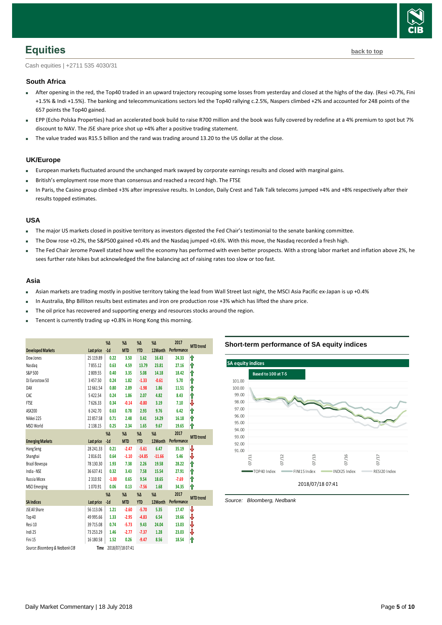

<span id="page-4-0"></span>Cash equities | +2711 535 4030/31

#### **South Africa**

- After opening in the red, the Top40 traded in an upward trajectory recouping some losses from yesterday and closed at the highs of the day. (Resi +0.7%, Fini +1.5% & Indi +1.5%). The banking and telecommunications sectors led the Top40 rallying c.2.5%, Naspers climbed +2% and accounted for 248 points of the 657 points the Top40 gained.
- EPP (Echo Polska Properties) had an accelerated book build to raise R700 million and the book was fully covered by redefine at a 4% premium to spot but 7% discount to NAV. The JSE share price shot up +4% after a positive trading statement.
- The value traded was R15.5 billion and the rand was trading around 13.20 to the US dollar at the close.

#### **UK/Europe**

- European markets fluctuated around the unchanged mark swayed by corporate earnings results and closed with marginal gains.
- British's employment rose more than consensus and reached a record high. The FTSE
- In Paris, the Casino group climbed +3% after impressive results. In London, Daily Crest and Talk Talk telecoms jumped +4% and +8% respectively after their results topped estimates.

#### **USA**

- The major US markets closed in positive territory as investors digested the Fed Chair's testimonial to the senate banking committee.
- The Dow rose +0.2%, the S&P500 gained +0.4% and the Nasdaq jumped +0.6%. With this move, the Nasdaq recorded a fresh high.
- The Fed Chair Jerome Powell stated how well the economy has performed with even better prospects. With a strong labor market and inflation above 2%, he sees further rate hikes but acknowledged the fine balancing act of raising rates too slow or too fast.

#### **Asia**

- Asian markets are trading mostly in positive territory taking the lead from Wall Street last night, the MSCI Asia Pacific ex-Japan is up +0.4%
- In Australia, Bhp Billiton results best estimates and iron ore production rose +3% which has lifted the share price.
- The oil price has recovered and supporting energy and resources stocks around the region.
- Tencent is currently trading up +0.8% in Hong Kong this morning.

<span id="page-4-1"></span>

|                                 |               | $% \Delta$ | $% \Delta$       | $% \Delta$ | $% \Delta$ | 2017        | <b>MTD</b> trend |
|---------------------------------|---------------|------------|------------------|------------|------------|-------------|------------------|
| <b>Developed Markets</b>        | Last price    | $-1d$      | <b>MTD</b>       | <b>YTD</b> | 12Month    | Performance |                  |
| Dow Jones                       | 25 119.89     | 0.22       | 3.50             | 1.62       | 16.43      | 24.33       | ⇑                |
| Nasdag                          | 7855.12       | 0.63       | 4.59             | 13.79      | 23.81      | 27.16       | ⇑                |
| S&P 500                         | 2809.55       | 0.40       | 3.35             | 5.08       | 14.18      | 18.42       | ⇑                |
| DJ Eurostoxx 50                 | 3457.50       | 0.24       | 1.82             | $-1.33$    | $-0.61$    | 5.70        | ⇑                |
| DAX                             | 12661.54      | 0.80       | 2.89             | $-1.98$    | 1.86       | 11.51       | ⇑                |
| CAC                             | 5422.54       | 0.24       | 1.86             | 2.07       | 4.82       | 8.43        | ⋔                |
| <b>FTSE</b>                     | 7626.33       | 0.34       | $-0.14$          | $-0.80$    | 3.19       | 7.10        | ₩                |
| ASX200                          | 6242.70       | 0.63       | 0.78             | 2.93       | 9.76       | 6.42        | ⇑                |
| Nikkei 225                      | 22857.58      | 0.71       | 2.48             | 0.41       | 14.29      | 16.18       | ⇑                |
| <b>MSCI World</b>               | 2 1 3 8 . 1 5 | 0.25       | 2.34             | 1.65       | 9.67       | 19.65       | ⋔                |
|                                 |               | %Δ         | $% \Delta$       | $% \Delta$ | $% \Delta$ | 2017        |                  |
| <b>Emerging Markets</b>         | Last price    | $-1d$      | <b>MTD</b>       | <b>YTD</b> | 12Month    | Performance | <b>MTD</b> trend |
| Hang Seng                       | 28 24 1.33    | 0.21       | $-2.47$          | $-5.61$    | 6.47       | 35.19       | ₩                |
| Shanghai                        | 2816.01       | 0.64       | $-1.10$          | $-14.85$   | $-11.66$   | 5.46        | ₩                |
| Brazil Bovespa                  | 78 130.30     | 1.93       | 7.38             | 2.26       | 19.58      | 28.22       | ⇑                |
| India - NSE                     | 36 637.41     | 0.32       | 3.43             | 7.58       | 15.54      | 27.91       | ⇑                |
| Russia Micex                    | 2310.92       | $-1.00$    | 0.65             | 9.54       | 18.65      | $-7.69$     | ⇑                |
| <b>MSCI</b> Emerging            | 1070.91       | 0.06       | 0.13             | $-7.56$    | 1.68       | 34.35       | ⇑                |
|                                 |               | %Δ         | $% \Delta$       | $% \Delta$ | $% \Delta$ | 2017        |                  |
| <b>SA Indices</b>               | Last price    | $-1d$      | <b>MTD</b>       | <b>YTD</b> | 12Month    | Performance | <b>MTD</b> trend |
| JSE All Share                   | 56 113.06     | 1.21       | $-2.60$          | $-5.70$    | 5.35       | 17.47       | ⇩                |
| Top 40                          | 49 995.66     | 1.33       | $-2.95$          | $-4.83$    | 6.54       | 19.66       | ₩                |
| Resi 10                         | 39715.08      | 0.74       | $-5.73$          | 9.43       | 24.04      | 13.03       | ₩                |
| Indi 25                         | 73 253.29     | 1.46       | $-2.77$          | $-7.37$    | 1.28       | 23.03       | ₩                |
| Fini 15                         | 16 180.58     | 1.52       | 0.26             | $-9.47$    | 8.56       | 18.54       | ⋔                |
| Source: Bloomberg & Nedbank CIB | Time          |            | 2018/07/18 07:41 |            |            |             |                  |

#### **Short-term performance of SA equity indices**

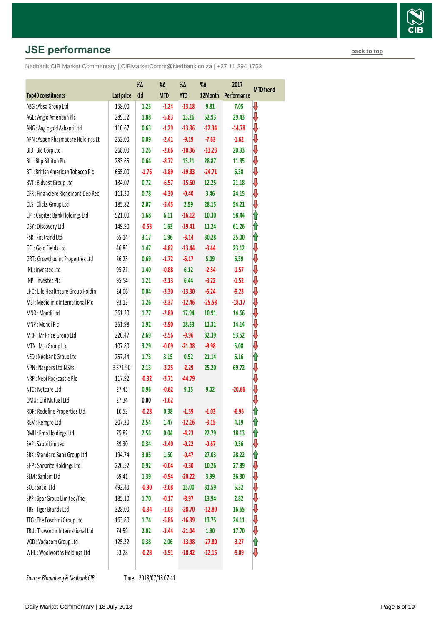# **JSE performance [back to top](#page-0-0) back to top**

Nedbank CIB Market Commentary | CIBMarketComm@Nedbank.co.za | +27 11 294 1753

|                                    |            | $\%\Delta$ | $\% \Delta$ | $\%\Delta$ | $\% \Delta$ | 2017        | <b>MTD</b> trend |
|------------------------------------|------------|------------|-------------|------------|-------------|-------------|------------------|
| Top40 constituents                 | Last price | $-1d$      | <b>MTD</b>  | <b>YTD</b> | 12Month     | Performance |                  |
| ABG: Absa Group Ltd                | 158.00     | 1.23       | $-1.24$     | $-13.18$   | 9.81        | 7.05        | ₩                |
| AGL: Anglo American Plc            | 289.52     | 1.88       | $-5.83$     | 13.26      | 52.93       | 29.43       | ⇩                |
| ANG: Anglogold Ashanti Ltd         | 110.67     | 0.63       | $-1.29$     | $-13.96$   | $-12.34$    | $-14.78$    | ⇩                |
| APN: Aspen Pharmacare Holdings Lt  | 252.00     | 0.09       | $-2.41$     | $-9.19$    | $-7.63$     | $-1.62$     | ⇩                |
| BID: Bid Corp Ltd                  | 268.00     | 1.26       | $-2.66$     | $-10.96$   | $-13.23$    | 20.93       | ⇩                |
| BIL: Bhp Billiton Plc              | 283.65     | 0.64       | $-8.72$     | 13.21      | 28.87       | 11.95       | ⇓                |
| BTI: British American Tobacco Plc  | 665.00     | $-1.76$    | $-3.89$     | $-19.83$   | $-24.71$    | 6.38        | ⇓                |
| BVT: Bidvest Group Ltd             | 184.07     | 0.72       | $-6.57$     | $-15.60$   | 12.25       | 21.18       | ⇩                |
| CFR : Financiere Richemont-Dep Rec | 111.30     | 0.78       | $-4.30$     | $-0.40$    | 3.46        | 24.15       | ⇓                |
| CLS: Clicks Group Ltd              | 185.82     | 2.07       | $-5.45$     | 2.59       | 28.15       | 54.21       | ⇩                |
| CPI: Capitec Bank Holdings Ltd     | 921.00     | 1.68       | 6.11        | $-16.12$   | 10.30       | 58.44       | ⇑                |
| DSY: Discovery Ltd                 | 149.90     | $-0.53$    | 1.63        | $-19.41$   | 11.24       | 61.26       | ⇑                |
| FSR: Firstrand Ltd                 | 65.14      | 3.17       | 1.96        | $-3.14$    | 30.28       | 25.00       | ⇑                |
| GFI: Gold Fields Ltd               | 46.83      | 1.47       | $-4.82$     | $-13.44$   | $-3.44$     | 23.12       | ⇩                |
| GRT: Growthpoint Properties Ltd    | 26.23      | 0.69       | $-1.72$     | $-5.17$    | 5.09        | 6.59        | ⇓                |
| INL: Investec Ltd                  | 95.21      | 1.40       | $-0.88$     | 6.12       | $-2.54$     | $-1.57$     | ⇩                |
| INP: Investec Plc                  | 95.54      | 1.21       | $-2.13$     | 6.44       | $-3.22$     | $-1.52$     | ₩                |
| LHC: Life Healthcare Group Holdin  | 24.06      | 0.04       | $-3.30$     | $-13.30$   | $-5.24$     | $-9.23$     | ⇩                |
| MEI: Mediclinic International Plc  | 93.13      | 1.26       | $-2.37$     | $-12.46$   | $-25.58$    | $-18.17$    | ₩                |
| MND: Mondi Ltd                     | 361.20     | 1.77       | $-2.80$     | 17.94      | 10.91       | 14.66       | ⇩                |
| MNP: Mondi Plc                     | 361.98     | 1.92       | $-2.90$     | 18.53      | 11.31       | 14.14       | ₩                |
| MRP: Mr Price Group Ltd            | 220.47     | 2.69       | $-2.56$     | $-9.96$    | 32.39       | 53.52       | ⇩                |
| MTN: Mtn Group Ltd                 | 107.80     | 3.29       | $-0.09$     | $-21.08$   | $-9.98$     | 5.08        | ⇩                |
| NED: Nedbank Group Ltd             | 257.44     | 1.73       | 3.15        | 0.52       | 21.14       | 6.16        | ⇑                |
| NPN: Naspers Ltd-N Shs             | 3371.90    | 2.13       | $-3.25$     | $-2.29$    | 25.20       | 69.72       | ⇓                |
| NRP: Nepi Rockcastle Plc           | 117.92     | $-0.32$    | $-3.71$     | $-44.79$   |             |             | ⇩                |
| NTC: Netcare Ltd                   | 27.45      | 0.96       | $-0.62$     | 9.15       | 9.02        | $-20.66$    | ⇓                |
| OMU: Old Mutual Ltd                | 27.34      | 0.00       | $-1.62$     |            |             |             | ⇩                |
| RDF: Redefine Properties Ltd       | 10.53      | $-0.28$    | 0.38        | $-1.59$    | $-1.03$     | -6.96       | 1                |
| REM: Remgro Ltd                    | 207.30     | 2.54       | 1.47        | $-12.16$   | $-3.15$     | 4.19        | 1                |
| RMH: Rmb Holdings Ltd              | 75.82      | 2.56       | 0.04        | $-4.23$    | 22.79       | 18.13       | 1                |
| SAP: Sappi Limited                 | 89.30      | 0.34       | $-2.40$     | $-0.22$    | $-0.67$     | 0.56        | ⇩                |
| SBK: Standard Bank Group Ltd       | 194.74     | 3.05       | 1.50        | $-0.47$    | 27.03       | 28.22       | ⇑                |
| SHP: Shoprite Holdings Ltd         | 220.52     | 0.92       | $-0.04$     | $-0.30$    | 10.26       | 27.89       | ⇩                |
| SLM: Sanlam Ltd                    | 69.41      | 1.39       | $-0.94$     | $-20.22$   | 3.99        | 36.30       | ⇩                |
| SOL: Sasol Ltd                     | 492.40     | $-0.90$    | $-2.08$     | 15.00      | 31.59       | 5.32        | ⇓                |
| SPP: Spar Group Limited/The        | 185.10     | 1.70       | $-0.17$     | $-8.97$    | 13.94       | 2.82        | ₩                |
| TBS: Tiger Brands Ltd              | 328.00     | $-0.34$    | $-1.03$     | $-28.70$   | $-12.80$    | 16.65       | ⇩                |
| TFG: The Foschini Group Ltd        | 163.80     | 1.74       | $-5.86$     | $-16.99$   | 13.75       | 24.11       | ⇩                |
| TRU: Truworths International Ltd   | 74.59      | 2.02       | $-3.44$     | $-21.04$   | 1.90        | 17.70       | ⇩                |
| VOD: Vodacom Group Ltd             | 125.32     | 0.38       | 2.06        | $-13.98$   | $-27.80$    | $-3.27$     | ⇑                |
| WHL: Woolworths Holdings Ltd       | 53.28      | $-0.28$    | $-3.91$     | $-18.42$   | $-12.15$    | $-9.09$     | ⇩                |
|                                    |            |            |             |            |             |             |                  |

**Source: Bloomberg & Nedbank CIB** 

Time 2018/07/18 07:41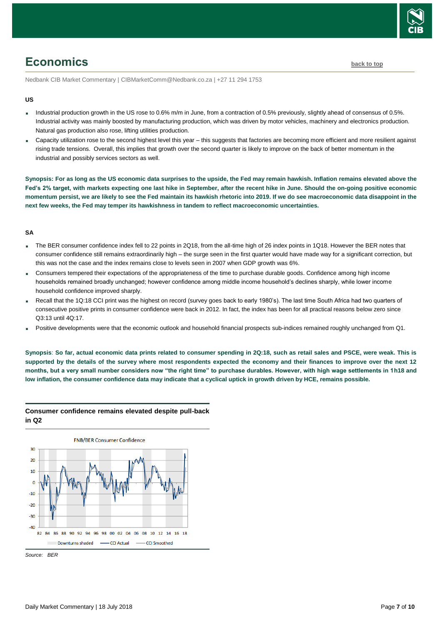

# <span id="page-6-0"></span>**Economics [back to top](#page-0-0)**

Nedbank CIB Market Commentary | CIBMarketComm@Nedbank.co.za | +27 11 294 1753

#### **US**

- Industrial production growth in the US rose to 0.6% m/m in June, from a contraction of 0.5% previously, slightly ahead of consensus of 0.5%. Industrial activity was mainly boosted by manufacturing production, which was driven by motor vehicles, machinery and electronics production. Natural gas production also rose, lifting utilities production.
- Capacity utilization rose to the second highest level this year this suggests that factories are becoming more efficient and more resilient against rising trade tensions. Overall, this implies that growth over the second quarter is likely to improve on the back of better momentum in the industrial and possibly services sectors as well.

**Synopsis: For as long as the US economic data surprises to the upside, the Fed may remain hawkish. Inflation remains elevated above the Fed's 2% target, with markets expecting one last hike in September, after the recent hike in June. Should the on-going positive economic momentum persist, we are likely to see the Fed maintain its hawkish rhetoric into 2019. If we do see macroeconomic data disappoint in the next few weeks, the Fed may temper its hawkishness in tandem to reflect macroeconomic uncertainties.** 

#### **SA**

- The BER consumer confidence index fell to 22 points in 2Q18, from the all-time high of 26 index points in 1Q18. However the BER notes that consumer confidence still remains extraordinarily high – the surge seen in the first quarter would have made way for a significant correction, but this was not the case and the index remains close to levels seen in 2007 when GDP growth was 6%.
- Consumers tempered their expectations of the appropriateness of the time to purchase durable goods. Confidence among high income households remained broadly unchanged; however confidence among middle income household's declines sharply, while lower income household confidence improved sharply.
- Recall that the 1Q:18 CCI print was the highest on record (survey goes back to early 1980's). The last time South Africa had two quarters of consecutive positive prints in consumer confidence were back in 2012. In fact, the index has been for all practical reasons below zero since Q3:13 until 4Q:17.
- Positive developments were that the economic outlook and household financial prospects sub-indices remained roughly unchanged from Q1.

**Synopsis**: **So far, actual economic data prints related to consumer spending in 2Q:18, such as retail sales and PSCE, were weak. This is supported by the details of the survey where most respondents expected the economy and their finances to improve over the next 12 months, but a very small number considers now "the right time" to purchase durables. However, with high wage settlements in 1h18 and low inflation, the consumer confidence data may indicate that a cyclical uptick in growth driven by HCE, remains possible.**

#### **Consumer confidence remains elevated despite pull-back in Q2**



*Source: BER*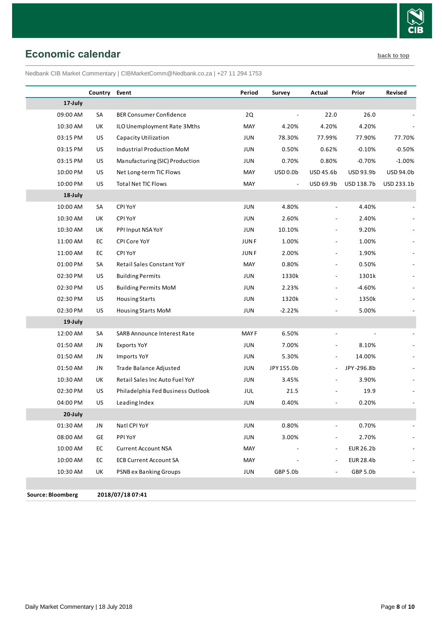

# <span id="page-7-0"></span>**Economic calendar [back to](#page-0-0) top**

Nedbank CIB Market Commentary | CIBMarketComm@Nedbank.co.za | +27 11 294 1753

|                   | Country   | Event                             | Period      | Survey                   | Actual                       | Prior            | Revised    |
|-------------------|-----------|-----------------------------------|-------------|--------------------------|------------------------------|------------------|------------|
| 17-July           |           |                                   |             |                          |                              |                  |            |
| 09:00 AM          | SA        | <b>BER Consumer Confidence</b>    | 2Q          |                          | 22.0                         | 26.0             |            |
| 10:30 AM          | UK        | ILO Unemployment Rate 3Mths       | MAY         | 4.20%                    | 4.20%                        | 4.20%            |            |
| 03:15 PM          | <b>US</b> | Capacity Utilization              | <b>JUN</b>  | 78.30%                   | 77.99%                       | 77.90%           | 77.70%     |
| 03:15 PM          | US        | Industrial Production MoM         | JUN         | 0.50%                    | 0.62%                        | $-0.10%$         | $-0.50%$   |
| 03:15 PM          | US        | Manufacturing (SIC) Production    | JUN         | 0.70%                    | 0.80%                        | $-0.70%$         | $-1.00%$   |
| 10:00 PM          | <b>US</b> | Net Long-term TIC Flows           | MAY         | USD 0.0b                 | USD 45.6b                    | USD 93.9b        | USD 94.0b  |
| 10:00 PM          | <b>US</b> | <b>Total Net TIC Flows</b>        | MAY         | $\overline{\phantom{a}}$ | USD 69.9b                    | USD 138.7b       | USD 233.1b |
| 18-July           |           |                                   |             |                          |                              |                  |            |
| 10:00 AM          | SA        | CPI YoY                           | JUN         | 4.80%                    |                              | 4.40%            |            |
| 10:30 AM          | UK        | CPI YoY                           | JUN         | 2.60%                    | $\overline{\phantom{a}}$     | 2.40%            |            |
| 10:30 AM          | UK        | PPI Input NSA YoY                 | JUN         | 10.10%                   | $\overline{a}$               | 9.20%            |            |
| 11:00 AM          | EC        | CPI Core YoY                      | <b>JUNF</b> | 1.00%                    |                              | 1.00%            |            |
| 11:00 AM          | EC        | CPI YoY                           | <b>JUNF</b> | 2.00%                    | $\overline{\phantom{a}}$     | 1.90%            |            |
| 01:00 PM          | SA        | Retail Sales Constant YoY         | MAY         | 0.80%                    |                              | 0.50%            |            |
| 02:30 PM          | <b>US</b> | <b>Building Permits</b>           | JUN         | 1330k                    | $\overline{\phantom{a}}$     | 1301k            |            |
| 02:30 PM          | US        | <b>Building Permits MoM</b>       | JUN         | 2.23%                    | $\overline{\phantom{a}}$     | $-4.60%$         |            |
| 02:30 PM          | <b>US</b> | <b>Housing Starts</b>             | JUN         | 1320k                    | $\overline{a}$               | 1350k            |            |
| 02:30 PM          | <b>US</b> | Housing Starts MoM                | JUN         | $-2.22%$                 |                              | 5.00%            |            |
| 19-July           |           |                                   |             |                          |                              |                  |            |
| 12:00 AM          | SA        | SARB Announce Interest Rate       | <b>MAYF</b> | 6.50%                    | $\overline{a}$               |                  |            |
| 01:50 AM          | JN        | Exports YoY                       | JUN         | 7.00%                    |                              | 8.10%            |            |
| 01:50 AM          | JN        | Imports YoY                       | JUN         | 5.30%                    |                              | 14.00%           |            |
| 01:50 AM          | JN        | Trade Balance Adjusted            | JUN         | JPY 155.0b               | $\qquad \qquad \blacksquare$ | JPY-296.8b       |            |
| 10:30 AM          | UK        | Retail Sales Inc Auto Fuel YoY    | JUN         | 3.45%                    | $\overline{\phantom{a}}$     | 3.90%            |            |
| 02:30 PM          | <b>US</b> | Philadelphia Fed Business Outlook | JUL         | 21.5                     |                              | 19.9             |            |
| 04:00 PM          | <b>US</b> | Leading Index                     | JUN         | 0.40%                    |                              | 0.20%            |            |
| 20-July           |           |                                   |             |                          |                              |                  |            |
| 01:30 AM          | JN        | Natl CPI YoY                      | JUN         | 0.80%                    |                              | 0.70%            |            |
| 08:00 AM          | GE        | PPI YoY                           | JUN         | 3.00%                    |                              | 2.70%            |            |
| 10:00 AM          | EC        | <b>Current Account NSA</b>        | MAY         |                          | $\overline{\phantom{a}}$     | <b>EUR 26.2b</b> |            |
| 10:00 AM          | EC        | <b>ECB Current Account SA</b>     | MAY         |                          |                              | <b>EUR 28.4b</b> |            |
| 10:30 AM          | UK        | <b>PSNB ex Banking Groups</b>     | JUN         | GBP 5.0b                 |                              | GBP 5.0b         |            |
|                   |           |                                   |             |                          |                              |                  |            |
| Source: Bloomberg |           | 2018/07/18 07:41                  |             |                          |                              |                  |            |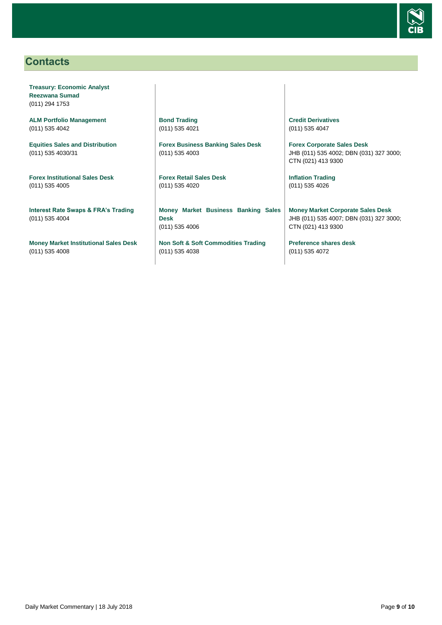

# <span id="page-8-0"></span>**Contacts**

**Treasury: Economic Analyst Reezwana Sumad** (011) 294 1753

**ALM Portfolio Management** (011) 535 4042

**Equities Sales and Distribution** (011) 535 4030/31

**Forex Institutional Sales Desk** (011) 535 4005

**Interest Rate Swaps & FRA's Trading** (011) 535 4004

**Money Market Institutional Sales Desk** (011) 535 4008

**Bond Trading** (011) 535 4021

**Forex Business Banking Sales Desk** (011) 535 4003

**Forex Retail Sales Desk** (011) 535 4020

**Money Market Business Banking Sales Desk** (011) 535 4006

**Non Soft & Soft Commodities Trading** (011) 535 4038

**Credit Derivatives**  (011) 535 4047

**Forex Corporate Sales Desk** JHB (011) 535 4002; DBN (031) 327 3000; CTN (021) 413 9300

**Inflation Trading** (011) 535 4026

**Money Market Corporate Sales Desk** JHB (011) 535 4007; DBN (031) 327 3000; CTN (021) 413 9300

**Preference shares desk** (011) 535 4072